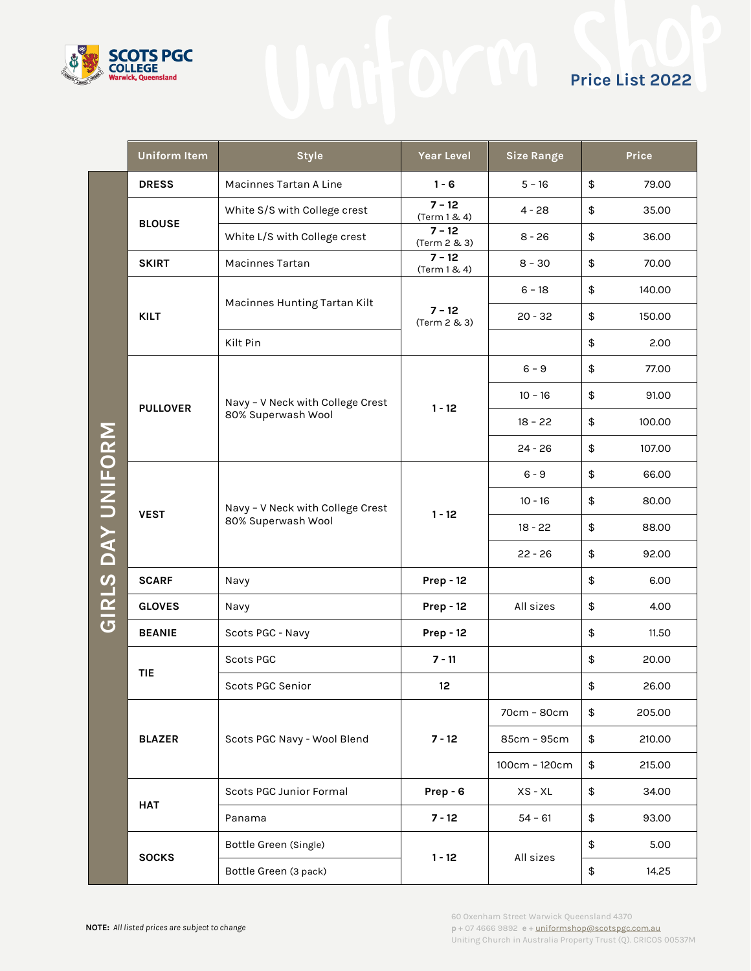

|                   | <b>Uniform Item</b> | <b>Style</b>                                           | <b>Year Level</b>        | <b>Size Range</b> | Price        |
|-------------------|---------------------|--------------------------------------------------------|--------------------------|-------------------|--------------|
|                   | <b>DRESS</b>        | Macinnes Tartan A Line                                 | $1 - 6$                  | $5 - 16$          | \$<br>79.00  |
|                   | <b>BLOUSE</b>       | White S/S with College crest                           | $7 - 12$<br>(Term 1 & 4) | $4 - 28$          | \$<br>35.00  |
|                   |                     | White L/S with College crest                           | $7 - 12$<br>(Term 2 & 3) | $8 - 26$          | \$<br>36.00  |
|                   | <b>SKIRT</b>        | Macinnes Tartan                                        | $7 - 12$<br>(Term 1 & 4) | $8 - 30$          | \$<br>70.00  |
|                   | <b>KILT</b>         | Macinnes Hunting Tartan Kilt                           | $7 - 12$<br>(Term 2 & 3) | $6 - 18$          | \$<br>140.00 |
|                   |                     |                                                        |                          | $20 - 32$         | \$<br>150.00 |
|                   |                     | Kilt Pin                                               |                          |                   | \$<br>2.00   |
|                   |                     |                                                        |                          | $6 - 9$           | \$<br>77.00  |
|                   | <b>PULLOVER</b>     | Navy - V Neck with College Crest<br>80% Superwash Wool | $1 - 12$                 | $10 - 16$         | \$<br>91.00  |
|                   |                     |                                                        |                          | $18 - 22$         | \$<br>100.00 |
|                   |                     |                                                        |                          | $24 - 26$         | \$<br>107.00 |
| GIRLS DAY UNIFORM | <b>VEST</b>         | Navy - V Neck with College Crest<br>80% Superwash Wool | $1 - 12$                 | $6 - 9$           | \$<br>66.00  |
|                   |                     |                                                        |                          | $10 - 16$         | \$<br>80.00  |
|                   |                     |                                                        |                          | 18 - 22           | \$<br>88.00  |
|                   |                     |                                                        |                          | $22 - 26$         | \$<br>92.00  |
|                   | <b>SCARF</b>        | Navy                                                   | <b>Prep - 12</b>         |                   | \$<br>6.00   |
|                   | <b>GLOVES</b>       | Navy                                                   | <b>Prep - 12</b>         | All sizes         | \$<br>4.00   |
|                   | <b>BEANIE</b>       | Scots PGC - Navy                                       | <b>Prep - 12</b>         |                   | \$<br>11.50  |
|                   | <b>TIE</b>          | <b>Scots PGC</b>                                       | $7 - 11$                 |                   | \$<br>20.00  |
|                   |                     | Scots PGC Senior                                       | 12                       |                   | \$<br>26.00  |
|                   |                     | Scots PGC Navy - Wool Blend                            | $7 - 12$                 | 70cm - 80cm       | \$<br>205.00 |
|                   | <b>BLAZER</b>       |                                                        |                          | 85cm - 95cm       | \$<br>210.00 |
|                   |                     |                                                        |                          | 100cm - 120cm     | \$<br>215.00 |
|                   | <b>HAT</b>          | Scots PGC Junior Formal                                | Prep - 6                 | $XS - XL$         | \$<br>34.00  |
|                   |                     | Panama                                                 | $7 - 12$                 | $54 - 61$         | \$<br>93.00  |
|                   | <b>SOCKS</b>        | Bottle Green (Single)                                  | $1 - 12$                 | All sizes         | \$<br>5.00   |
|                   |                     | Bottle Green (3 pack)                                  |                          |                   | 14.25<br>\$  |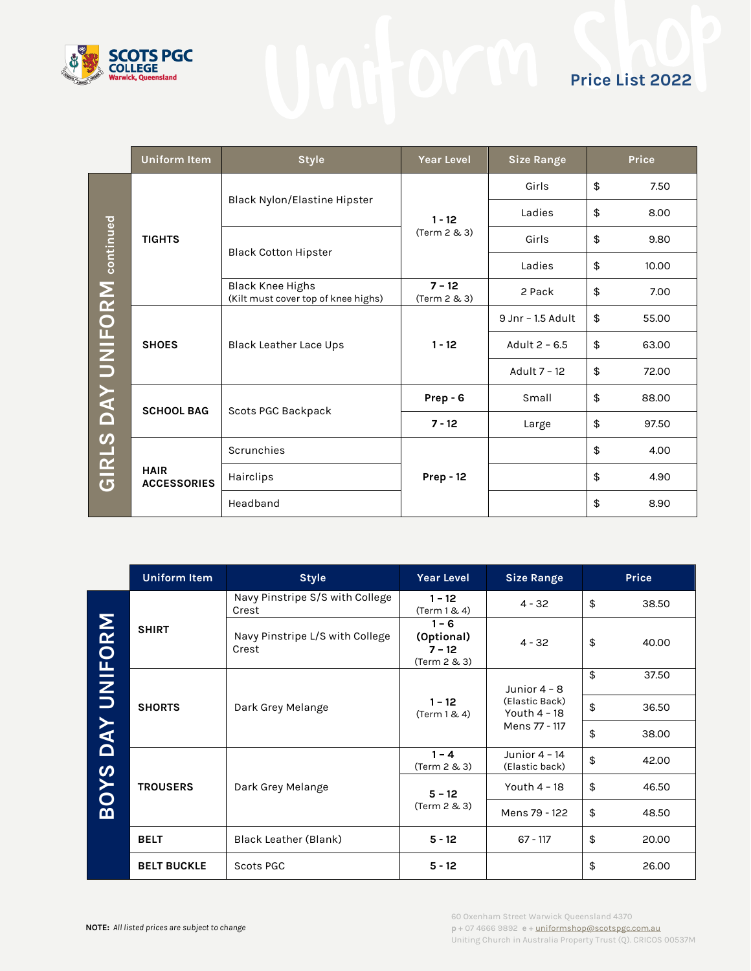

|                             | <b>Uniform Item</b>               | <b>Style</b>                                                   | <b>Year Level</b>        | <b>Size Range</b>   | Price       |
|-----------------------------|-----------------------------------|----------------------------------------------------------------|--------------------------|---------------------|-------------|
|                             | <b>TIGHTS</b>                     | Black Nylon/Elastine Hipster                                   | $1 - 12$<br>(Term 2 & 3) | Girls               | \$<br>7.50  |
|                             |                                   |                                                                |                          | Ladies              | \$<br>8.00  |
|                             |                                   | <b>Black Cotton Hipster</b>                                    |                          | Girls               | \$<br>9.80  |
|                             |                                   |                                                                |                          | Ladies              | \$<br>10.00 |
| GIRLS DAY UNIFORM continued |                                   | <b>Black Knee Highs</b><br>(Kilt must cover top of knee highs) | $7 - 12$<br>(Term 2 & 3) | 2 Pack              | \$<br>7.00  |
|                             | <b>SHOES</b>                      | Black Leather Lace Ups                                         | $1 - 12$                 | $9$ Jnr - 1.5 Adult | \$<br>55.00 |
|                             |                                   |                                                                |                          | Adult 2 - 6.5       | \$<br>63.00 |
|                             |                                   |                                                                |                          | Adult 7 - 12        | \$<br>72.00 |
|                             | <b>SCHOOL BAG</b>                 | Scots PGC Backpack                                             | Prep - 6                 | Small               | \$<br>88.00 |
|                             |                                   |                                                                | $7 - 12$                 | Large               | \$<br>97.50 |
|                             | <b>HAIR</b><br><b>ACCESSORIES</b> | Scrunchies                                                     |                          |                     | \$<br>4.00  |
|                             |                                   | Hairclips                                                      | <b>Prep - 12</b>         |                     | \$<br>4.90  |
|                             |                                   | Headband                                                       |                          |                     | \$<br>8.90  |

|             | <b>Uniform Item</b> | <b>Style</b>                             | Year Level                                        | <b>Size Range</b>                                                   | Price       |
|-------------|---------------------|------------------------------------------|---------------------------------------------------|---------------------------------------------------------------------|-------------|
|             | <b>SHIRT</b>        | Navy Pinstripe S/S with College<br>Crest | $1 - 12$<br>(Term 1 & 4)                          | $4 - 32$                                                            | \$<br>38.50 |
| DAY UNIFORM |                     | Navy Pinstripe L/S with College<br>Crest | $1 - 6$<br>(Optional)<br>$7 - 12$<br>(Term 2 & 3) | $4 - 32$                                                            | \$<br>40.00 |
|             | <b>SHORTS</b>       | Dark Grey Melange                        | $1 - 12$<br>(Term 1 & 4)                          | Junior $4 - 8$<br>(Elastic Back)<br>Youth $4 - 18$<br>Mens 77 - 117 | \$<br>37.50 |
|             |                     |                                          |                                                   |                                                                     | \$<br>36.50 |
|             |                     |                                          |                                                   |                                                                     | \$<br>38.00 |
|             | <b>TROUSERS</b>     | Dark Grey Melange                        | $1 - 4$<br>(Term 2 & 3)                           | Junior $4 - 14$<br>(Elastic back)                                   | \$<br>42.00 |
| <b>BOYS</b> |                     |                                          | $5 - 12$<br>(Term 2 & 3)                          | Youth $4 - 18$                                                      | \$<br>46.50 |
|             |                     |                                          |                                                   | Mens 79 - 122                                                       | \$<br>48.50 |
|             | <b>BELT</b>         | Black Leather (Blank)                    | $5 - 12$                                          | $67 - 117$                                                          | \$<br>20.00 |
|             | <b>BELT BUCKLE</b>  | Scots PGC                                | $5 - 12$                                          |                                                                     | \$<br>26.00 |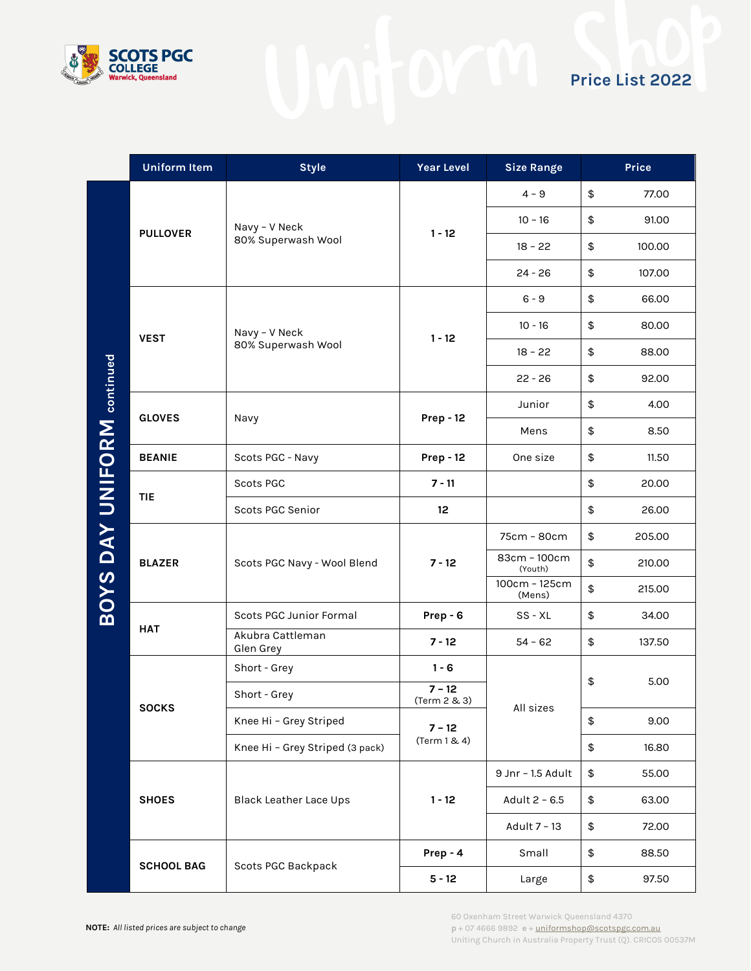

|                                   | <b>Uniform Item</b> | <b>Style</b>                        | <b>Year Level</b>        | <b>Size Range</b>       |            | Price  |
|-----------------------------------|---------------------|-------------------------------------|--------------------------|-------------------------|------------|--------|
|                                   | <b>PULLOVER</b>     | Navy - V Neck<br>80% Superwash Wool | $1 - 12$                 | $4 - 9$                 | \$         | 77.00  |
|                                   |                     |                                     |                          | $10 - 16$               | \$         | 91.00  |
|                                   |                     |                                     |                          | $18 - 22$               | \$         | 100.00 |
|                                   |                     |                                     |                          | $24 - 26$               | \$         | 107.00 |
|                                   |                     | Navy - V Neck                       |                          | $6 - 9$                 | \$         | 66.00  |
|                                   |                     |                                     |                          | $10 - 16$               | \$         | 80.00  |
|                                   | <b>VEST</b>         | 80% Superwash Wool                  | $1 - 12$                 | $18 - 22$               | \$         | 88.00  |
|                                   |                     |                                     |                          | $22 - 26$               | \$         | 92.00  |
|                                   |                     | Navy                                | <b>Prep - 12</b>         | Junior                  | \$         | 4.00   |
|                                   | <b>GLOVES</b>       |                                     |                          | Mens                    | \$         | 8.50   |
|                                   | <b>BEANIE</b>       | Scots PGC - Navy                    | <b>Prep - 12</b>         | One size                | \$         | 11.50  |
| <b>BOYS DAY UNIFORM continued</b> | <b>TIE</b>          | Scots PGC                           | $7 - 11$                 |                         | \$         | 20.00  |
|                                   |                     | Scots PGC Senior                    | 12                       |                         | \$         | 26.00  |
|                                   | <b>BLAZER</b>       | Scots PGC Navy - Wool Blend         | $7 - 12$                 | 75cm - 80cm             | \$         | 205.00 |
|                                   |                     |                                     |                          | 83cm - 100cm<br>(Youth) | \$         | 210.00 |
|                                   |                     |                                     |                          | 100cm - 125cm<br>(Mens) | \$         | 215.00 |
|                                   | <b>HAT</b>          | Scots PGC Junior Formal             | Prep - 6                 | SS - XL                 | \$         | 34.00  |
|                                   |                     | Akubra Cattleman<br>Glen Grey       | $7 - 12$                 | $54 - 62$               | \$         | 137.50 |
|                                   | <b>SOCKS</b>        | Short - Grey                        | $1 - 6$                  | All sizes               | \$<br>5.00 |        |
|                                   |                     | Short - Grey                        | $7 - 12$<br>(Term 2 & 3) |                         |            |        |
|                                   |                     | Knee Hi - Grey Striped              | $7 - 12$                 |                         | \$         | 9.00   |
|                                   |                     | Knee Hi - Grey Striped (3 pack)     | (Term 1 & 4)             |                         | \$         | 16.80  |
|                                   | <b>SHOES</b>        | Black Leather Lace Ups              | $1 - 12$                 | 9 Jnr - 1.5 Adult       | $\, \, \$$ | 55.00  |
|                                   |                     |                                     |                          | Adult 2 - 6.5           | \$         | 63.00  |
|                                   |                     |                                     |                          | Adult 7 - 13            | \$         | 72.00  |
|                                   |                     |                                     | Prep - 4                 | Small                   | \$         | 88.50  |
|                                   | <b>SCHOOL BAG</b>   | Scots PGC Backpack                  | $5 - 12$                 | Large                   | \$         | 97.50  |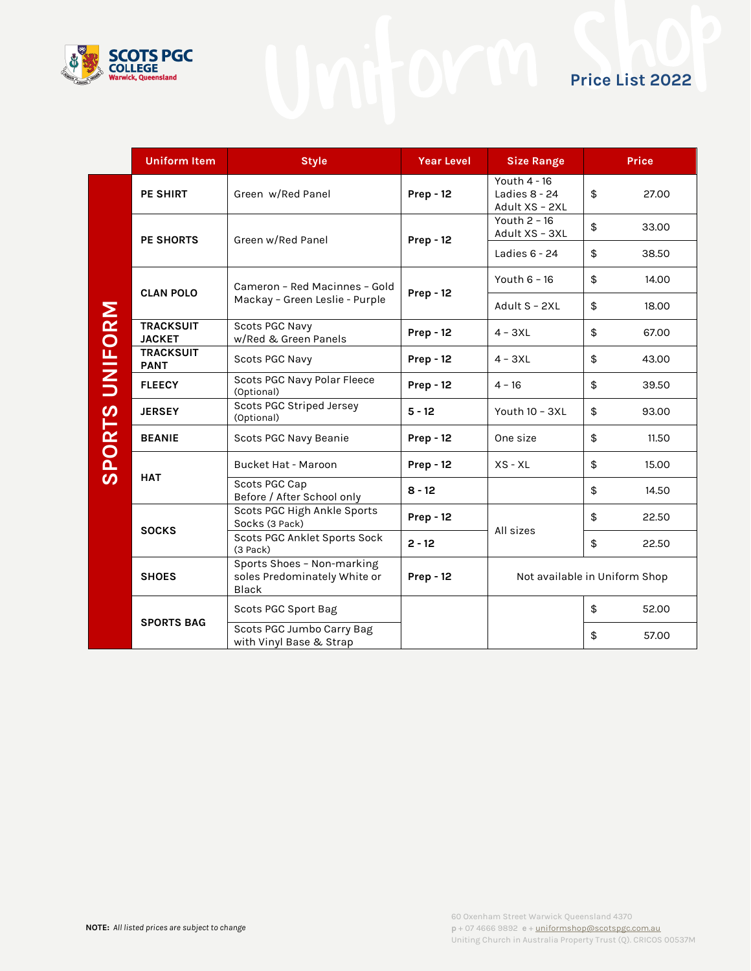

|                          | <b>Uniform Item</b>               | <b>Style</b>                                                        | <b>Year Level</b> | <b>Size Range</b>                                 | <b>Price</b> |  |
|--------------------------|-----------------------------------|---------------------------------------------------------------------|-------------------|---------------------------------------------------|--------------|--|
|                          | <b>PE SHIRT</b>                   | Green w/Red Panel                                                   | <b>Prep - 12</b>  | Youth 4 - 16<br>Ladies $8 - 24$<br>Adult XS - 2XL | \$<br>27.00  |  |
|                          | <b>PE SHORTS</b>                  | Green w/Red Panel                                                   | <b>Prep - 12</b>  | Youth 2 - 16<br>Adult XS - 3XL                    | \$<br>33.00  |  |
|                          |                                   |                                                                     |                   | Ladies $6 - 24$                                   | \$<br>38.50  |  |
|                          | <b>CLAN POLO</b>                  | Cameron - Red Macinnes - Gold<br>Mackay - Green Leslie - Purple     | <b>Prep - 12</b>  | Youth 6 - 16                                      | \$<br>14.00  |  |
|                          |                                   |                                                                     |                   | Adult S - 2XL                                     | \$<br>18.00  |  |
|                          | <b>TRACKSUIT</b><br><b>JACKET</b> | Scots PGC Navy<br>w/Red & Green Panels                              | <b>Prep - 12</b>  | $4 - 3XL$                                         | \$<br>67.00  |  |
| UNIFORM<br><b>SPORTS</b> | <b>TRACKSUIT</b><br><b>PANT</b>   | Scots PGC Navy                                                      | <b>Prep - 12</b>  | $4 - 3XL$                                         | \$<br>43.00  |  |
|                          | <b>FLEECY</b>                     | Scots PGC Navy Polar Fleece<br>(Optional)                           | <b>Prep - 12</b>  | $4 - 16$                                          | \$<br>39.50  |  |
|                          | <b>JERSEY</b>                     | Scots PGC Striped Jersey<br>(Optional)                              | $5 - 12$          | Youth 10 - 3XL                                    | \$<br>93.00  |  |
|                          | <b>BEANIE</b>                     | Scots PGC Navy Beanie                                               | <b>Prep - 12</b>  | One size                                          | \$<br>11.50  |  |
|                          | <b>HAT</b>                        | <b>Bucket Hat - Maroon</b>                                          | <b>Prep - 12</b>  | $XS - XL$                                         | \$<br>15.00  |  |
|                          |                                   | Scots PGC Cap<br>Before / After School only                         | $8 - 12$          |                                                   | \$<br>14.50  |  |
|                          | <b>SOCKS</b>                      | Scots PGC High Ankle Sports<br>Socks (3 Pack)                       | <b>Prep - 12</b>  | All sizes                                         | \$<br>22.50  |  |
|                          |                                   | Scots PGC Anklet Sports Sock<br>$(3$ Pack $)$                       | $2 - 12$          |                                                   | \$<br>22.50  |  |
|                          | <b>SHOES</b>                      | Sports Shoes - Non-marking<br>soles Predominately White or<br>Black | <b>Prep - 12</b>  | Not available in Uniform Shop                     |              |  |
|                          | <b>SPORTS BAG</b>                 | Scots PGC Sport Bag                                                 |                   |                                                   | \$<br>52.00  |  |
|                          |                                   | Scots PGC Jumbo Carry Bag<br>with Vinyl Base & Strap                |                   |                                                   | \$<br>57.00  |  |